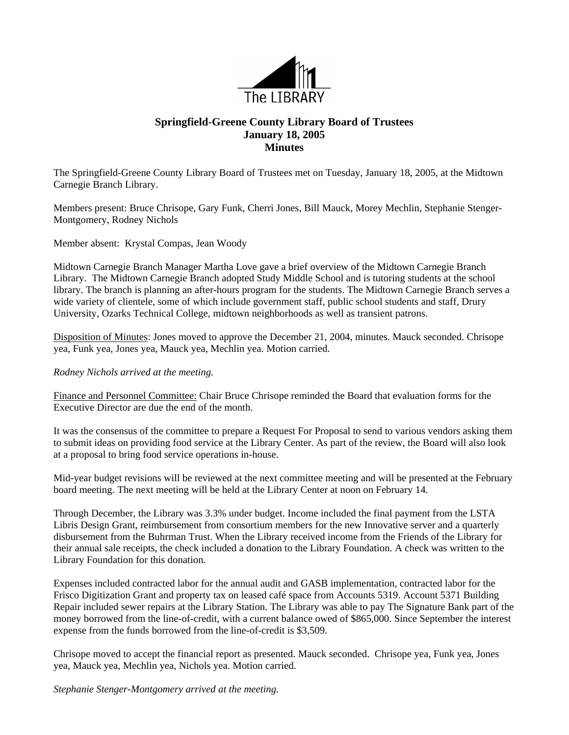

## **Springfield-Greene County Library Board of Trustees January 18, 2005 Minutes**

The Springfield-Greene County Library Board of Trustees met on Tuesday, January 18, 2005, at the Midtown Carnegie Branch Library.

Members present: Bruce Chrisope, Gary Funk, Cherri Jones, Bill Mauck, Morey Mechlin, Stephanie Stenger-Montgomery, Rodney Nichols

Member absent: Krystal Compas, Jean Woody

Midtown Carnegie Branch Manager Martha Love gave a brief overview of the Midtown Carnegie Branch Library. The Midtown Carnegie Branch adopted Study Middle School and is tutoring students at the school library. The branch is planning an after-hours program for the students. The Midtown Carnegie Branch serves a wide variety of clientele, some of which include government staff, public school students and staff, Drury University, Ozarks Technical College, midtown neighborhoods as well as transient patrons.

Disposition of Minutes: Jones moved to approve the December 21, 2004, minutes. Mauck seconded. Chrisope yea, Funk yea, Jones yea, Mauck yea, Mechlin yea. Motion carried.

*Rodney Nichols arrived at the meeting.*

Finance and Personnel Committee: Chair Bruce Chrisope reminded the Board that evaluation forms for the Executive Director are due the end of the month.

It was the consensus of the committee to prepare a Request For Proposal to send to various vendors asking them to submit ideas on providing food service at the Library Center. As part of the review, the Board will also look at a proposal to bring food service operations in-house.

Mid-year budget revisions will be reviewed at the next committee meeting and will be presented at the February board meeting. The next meeting will be held at the Library Center at noon on February 14.

Through December, the Library was 3.3% under budget. Income included the final payment from the LSTA Libris Design Grant, reimbursement from consortium members for the new Innovative server and a quarterly disbursement from the Buhrman Trust. When the Library received income from the Friends of the Library for their annual sale receipts, the check included a donation to the Library Foundation. A check was written to the Library Foundation for this donation.

Expenses included contracted labor for the annual audit and GASB implementation, contracted labor for the Frisco Digitization Grant and property tax on leased café space from Accounts 5319. Account 5371 Building Repair included sewer repairs at the Library Station. The Library was able to pay The Signature Bank part of the money borrowed from the line-of-credit, with a current balance owed of \$865,000. Since September the interest expense from the funds borrowed from the line-of-credit is \$3,509.

Chrisope moved to accept the financial report as presented. Mauck seconded. Chrisope yea, Funk yea, Jones yea, Mauck yea, Mechlin yea, Nichols yea. Motion carried.

*Stephanie Stenger-Montgomery arrived at the meeting.*